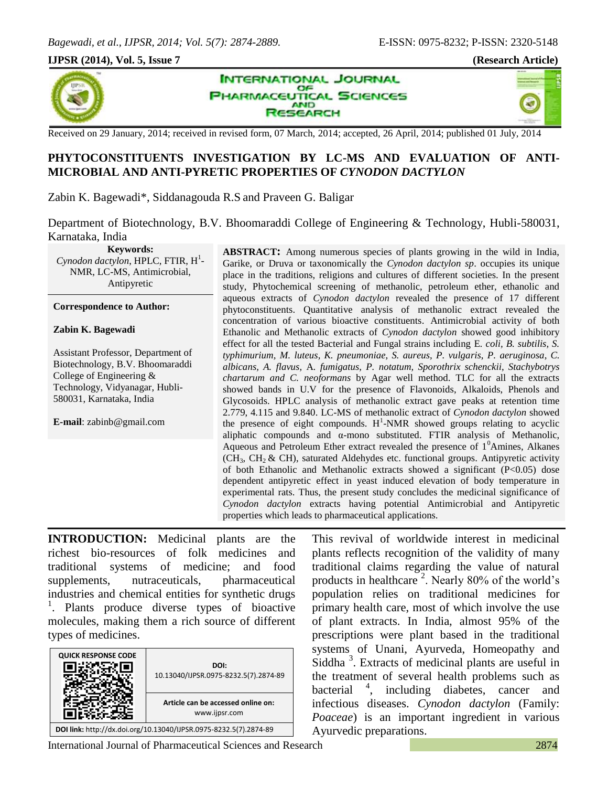#### **IJPSR (2014), Vol. 5, Issue 7 (Research Article)**



INTERNATIONAL JOURNAL OF **ARMACEUTICAL SCIENCES AND** ESEARCH

4V

Received on 29 January, 2014; received in revised form, 07 March, 2014; accepted, 26 April, 2014; published 01 July, 2014

## **PHYTOCONSTITUENTS INVESTIGATION BY LC-MS AND EVALUATION OF ANTI-MICROBIAL AND ANTI-PYRETIC PROPERTIES OF** *CYNODON DACTYLON*

Zabin K. Bagewadi\*, Siddanagouda R.S and Praveen G. Baligar

Department of Biotechnology, B.V. Bhoomaraddi College of Engineering & Technology, Hubli-580031, Karnataka, India

**Keywords:** Cynodon dactylon, HPLC, FTIR, H<sup>1</sup>-NMR, LC-MS, Antimicrobial, Antipyretic

#### **Correspondence to Author:**

#### **Zabin K. Bagewadi**

Assistant Professor, Department of Biotechnology, B.V. Bhoomaraddi College of Engineering & Technology, Vidyanagar, Hubli-580031, Karnataka, India

**E-mail**: [zabinb@gmail.com](mailto:zabinb@gmail.com)

**ABSTRACT:** Among numerous species of plants growing in the wild in India, Garike, or Druva or taxonomically the *Cynodon dactylon sp*. occupies its unique place in the traditions, religions and cultures of different societies. In the present study, Phytochemical screening of methanolic, petroleum ether, ethanolic and aqueous extracts of *Cynodon dactylon* revealed the presence of 17 different phytoconstituents. Quantitative analysis of methanolic extract revealed the concentration of various bioactive constituents. Antimicrobial activity of both Ethanolic and Methanolic extracts of *Cynodon dactylon* showed good inhibitory effect for all the tested Bacterial and Fungal strains including E*. coli, B. subtilis, S. typhimurium, M. luteus, K. pneumoniae, S. aureus, P. vulgaris*, *P. aeruginosa*, *C. albicans, A. flavus,* A*. fumigatus, P. notatum, Sporothrix schenckii*, *Stachybotrys chartarum and C. neoformans* by Agar well method. TLC for all the extracts showed bands in U.V for the presence of Flavonoids, Alkaloids, Phenols and Glycosoids. HPLC analysis of methanolic extract gave peaks at retention time 2.779, 4.115 and 9.840. LC-MS of methanolic extract of *Cynodon dactylon* showed the presence of eight compounds.  $H^1$ -NMR showed groups relating to acyclic aliphatic compounds and α-mono substituted. FTIR analysis of Methanolic, Aqueous and Petroleum Ether extract revealed the presence of  $1<sup>0</sup>$ Amines, Alkanes  $(CH<sub>3</sub>, CH<sub>2</sub> & CH),$  saturated Aldehydes etc. functional groups. Antipyretic activity of both Ethanolic and Methanolic extracts showed a significant (P<0.05) dose dependent antipyretic effect in yeast induced elevation of body temperature in experimental rats. Thus, the present study concludes the medicinal significance of *Cynodon dactylon* extracts having potential Antimicrobial and Antipyretic properties which leads to pharmaceutical applications.

**INTRODUCTION:** Medicinal plants are the richest bio-resources of folk medicines and traditional systems of medicine; and food supplements, nutraceuticals, pharmaceutical industries and chemical entities for synthetic drugs 1 . Plants produce diverse types of bioactive molecules, making them a rich source of different types of medicines.

| <b>QUICK RESPONSE CODE</b>                                        | DOI:<br>10.13040/IJPSR.0975-8232.5(7).2874-89       |  |  |  |  |
|-------------------------------------------------------------------|-----------------------------------------------------|--|--|--|--|
|                                                                   | Article can be accessed online on:<br>www.ijpsr.com |  |  |  |  |
| DOI link: http://dx.doi.org/10.13040/IJPSR.0975-8232.5(7).2874-89 |                                                     |  |  |  |  |

This revival of worldwide interest in medicinal plants reflects recognition of the validity of many traditional claims regarding the value of natural products in healthcare<sup>2</sup>. Nearly 80% of the world's population relies on traditional medicines for primary health care, most of which involve the use of plant extracts. In India, almost 95% of the prescriptions were plant based in the traditional systems of Unani, Ayurveda, Homeopathy and Siddha<sup>3</sup>. Extracts of medicinal plants are useful in the treatment of several health problems such as bacterial <sup>4</sup> <sup>4</sup>, including diabetes, cancer and infectious diseases. *Cynodon dactylon* (Family: *Poaceae*) is an important ingredient in various Ayurvedic preparations.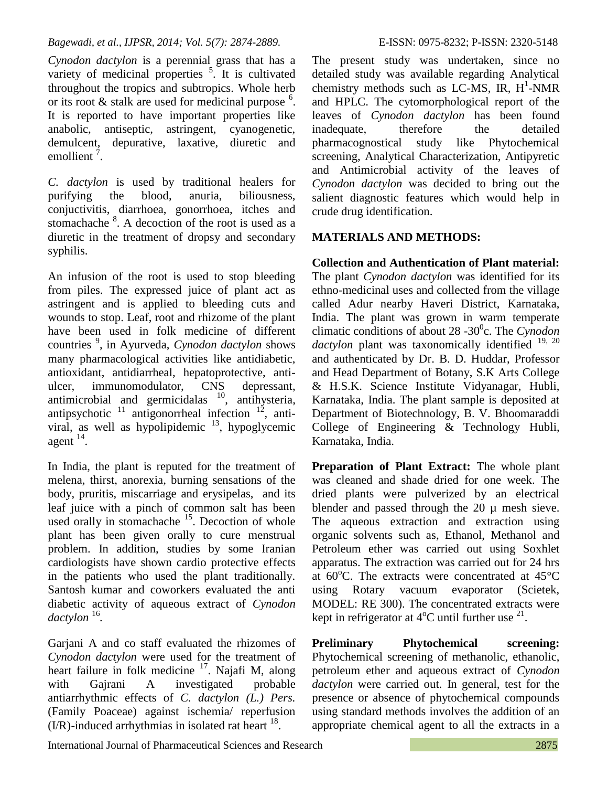*Cynodon dactylon* is a perennial grass that has a variety of medicinal properties  $\frac{5}{1}$ . It is cultivated throughout the tropics and subtropics. Whole herb or its root  $&$  stalk are used for medicinal purpose  $<sup>6</sup>$ .</sup> It is reported to have important properties like anabolic, antiseptic, astringent, cyanogenetic, demulcent, depurative, laxative, diuretic and emollient<sup> $7$ </sup>.

*C. dactylon* is used by traditional healers for purifying the blood, anuria, biliousness, conjuctivitis, diarrhoea, gonorrhoea, itches and stomachache  $8$ . A decoction of the root is used as a diuretic in the treatment of dropsy and secondary syphilis.

An infusion of the root is used to stop bleeding from piles. The expressed juice of plant act as astringent and is applied to bleeding cuts and wounds to stop. Leaf, root and rhizome of the plant have been used in folk medicine of different countries <sup>9</sup> , in Ayurveda, *Cynodon dactylon* shows many pharmacological activities like antidiabetic, antioxidant, antidiarrheal, hepatoprotective, antiulcer, immunomodulator, CNS depressant, antimicrobial and germicidalas  $^{10}$ , antihysteria, antipsychotic  $11$  antigonorrheal infection  $12$ , antiviral, as well as hypolipidemic  $\frac{13}{2}$ , hypoglycemic agent  $14$ .

In India, the plant is reputed for the treatment of melena, thirst, anorexia, burning sensations of the body, pruritis, miscarriage and erysipelas, and its leaf juice with a pinch of common salt has been used orally in stomachache  $15$ . Decoction of whole plant has been given orally to cure menstrual problem. In addition, studies by some Iranian cardiologists have shown cardio protective effects in the patients who used the plant traditionally. Santosh kumar and coworkers evaluated the anti diabetic activity of aqueous extract of *Cynodon*  dactylon<sup>16</sup>.

Garjani A and co staff evaluated the rhizomes of *Cynodon dactylon* were used for the treatment of heart failure in folk medicine <sup>17</sup>. Najafi M, along with Gajrani A investigated probable antiarrhythmic effects of *C. dactylon (L.) Pers.*  (Family Poaceae) against ischemia/ reperfusion  $( I/R )$ -induced arrhythmias in isolated rat heart  $^{18}$ .

The present study was undertaken, since no detailed study was available regarding Analytical chemistry methods such as LC-MS, IR,  $H^1$ -NMR and HPLC. The cytomorphological report of the leaves of *Cynodon dactylon* has been found inadequate, therefore the detailed pharmacognostical study like Phytochemical screening, Analytical Characterization, Antipyretic and Antimicrobial activity of the leaves of *Cynodon dactylon* was decided to bring out the salient diagnostic features which would help in crude drug identification.

# **MATERIALS AND METHODS:**

**Collection and Authentication of Plant material:** The plant *Cynodon dactylon* was identified for its ethno-medicinal uses and collected from the village called Adur nearby Haveri District, Karnataka, India. The plant was grown in warm temperate climatic conditions of about 28 -30<sup>0</sup>c. The *Cynodon dactylon* plant was taxonomically identified <sup>19, 20</sup> and authenticated by Dr. B. D. Huddar, Professor and Head Department of Botany, S.K Arts College & H.S.K. Science Institute Vidyanagar, Hubli, Karnataka, India. The plant sample is deposited at Department of Biotechnology, B. V. Bhoomaraddi College of Engineering & Technology Hubli, Karnataka, India.

**Preparation of Plant Extract:** The whole plant was cleaned and shade dried for one week. The dried plants were pulverized by an electrical blender and passed through the  $20 \mu$  mesh sieve. The aqueous extraction and extraction using organic solvents such as, Ethanol, Methanol and Petroleum ether was carried out using Soxhlet apparatus. The extraction was carried out for 24 hrs at  $60^{\circ}$ C. The extracts were concentrated at  $45^{\circ}$ C using Rotary vacuum evaporator (Scietek, MODEL: RE 300). The concentrated extracts were kept in refrigerator at  $4^{\circ}$ C until further use  $^{21}$ .

**Preliminary Phytochemical screening:** Phytochemical screening of methanolic, ethanolic, petroleum ether and aqueous extract of *Cynodon dactylon* were carried out*.* In general, test for the presence or absence of phytochemical compounds using standard methods involves the addition of an appropriate chemical agent to all the extracts in a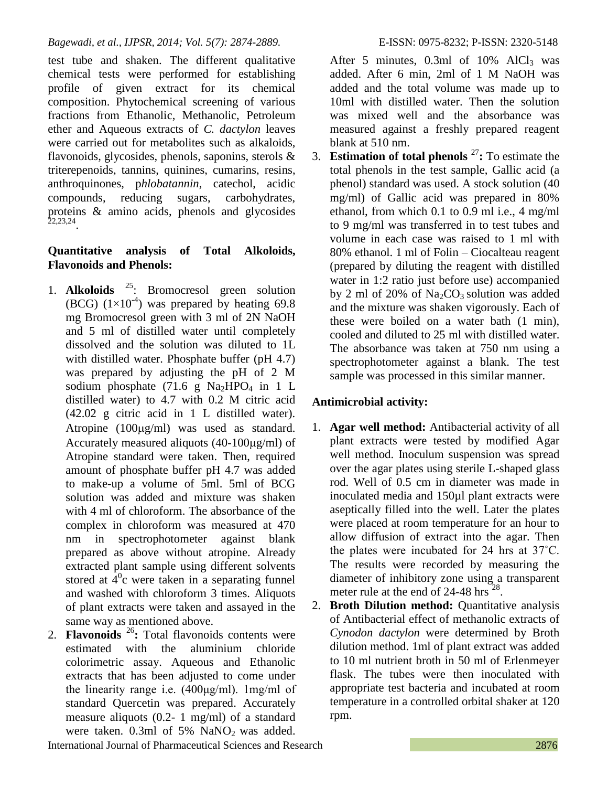test tube and shaken. The different qualitative chemical tests were performed for establishing profile of given extract for its chemical composition. Phytochemical screening of various fractions from Ethanolic, Methanolic, Petroleum ether and Aqueous extracts of *C. dactylon* leaves were carried out for metabolites such as alkaloids, flavonoids, glycosides, phenols, saponins, sterols & triterepenoids, tannins, quinines, cumarins, resins, anthroquinones, p*hlobatannin*, catechol, acidic compounds, reducing sugars, carbohydrates, proteins & amino acids, phenols and glycosides 22,23,24 .

# **Quantitative analysis of Total Alkoloids, Flavonoids and Phenols:**

- 1. **Alkoloids** <sup>25</sup> : Bromocresol green solution (BCG)  $(1\times10^{-4})$  was prepared by heating 69.8 mg Bromocresol green with 3 ml of 2N NaOH and 5 ml of distilled water until completely dissolved and the solution was diluted to 1L with distilled water. Phosphate buffer (pH 4.7) was prepared by adjusting the pH of 2 M sodium phosphate (71.6 g Na<sub>2</sub>HPO<sub>4</sub> in 1 L distilled water) to 4.7 with 0.2 M citric acid (42.02 g citric acid in 1 L distilled water). Atropine  $(100\mu g/ml)$  was used as standard. Accurately measured aliquots  $(40-100\mu g/ml)$  of Atropine standard were taken. Then, required amount of phosphate buffer pH 4.7 was added to make-up a volume of 5ml. 5ml of BCG solution was added and mixture was shaken with 4 ml of chloroform. The absorbance of the complex in chloroform was measured at 470 nm in spectrophotometer against blank prepared as above without atropine. Already extracted plant sample using different solvents stored at  $\overline{4}^0$ c were taken in a separating funnel and washed with chloroform 3 times. Aliquots of plant extracts were taken and assayed in the same way as mentioned above.
- 2. **Flavonoids** <sup>26</sup>**:** Total flavonoids contents were estimated with the aluminium chloride colorimetric assay. Aqueous and Ethanolic extracts that has been adjusted to come under the linearity range i.e. (400μg/ml). 1mg/ml of standard Quercetin was prepared. Accurately measure aliquots (0.2- 1 mg/ml) of a standard were taken.  $0.3$ ml of 5% NaNO<sub>2</sub> was added.

After 5 minutes,  $0.3$ ml of  $10\%$  AlCl<sub>3</sub> was added. After 6 min, 2ml of 1 M NaOH was added and the total volume was made up to 10ml with distilled water. Then the solution was mixed well and the absorbance was measured against a freshly prepared reagent blank at 510 nm.

3. **Estimation of total phenols**  $27$ : To estimate the total phenols in the test sample, Gallic acid (a phenol) standard was used. A stock solution (40 mg/ml) of Gallic acid was prepared in 80% ethanol, from which 0.1 to 0.9 ml i.e., 4 mg/ml to 9 mg/ml was transferred in to test tubes and volume in each case was raised to 1 ml with 80% ethanol. 1 ml of Folin – Ciocalteau reagent (prepared by diluting the reagent with distilled water in 1:2 ratio just before use) accompanied by 2 ml of 20% of  $Na<sub>2</sub>CO<sub>3</sub>$  solution was added and the mixture was shaken vigorously. Each of these were boiled on a water bath (1 min), cooled and diluted to 25 ml with distilled water. The absorbance was taken at 750 nm using a spectrophotometer against a blank. The test sample was processed in this similar manner.

# **Antimicrobial activity:**

- 1. **Agar well method:** Antibacterial activity of all plant extracts were tested by modified Agar well method. Inoculum suspension was spread over the agar plates using sterile L-shaped glass rod. Well of 0.5 cm in diameter was made in inoculated media and 150µl plant extracts were aseptically filled into the well. Later the plates were placed at room temperature for an hour to allow diffusion of extract into the agar. Then the plates were incubated for 24 hrs at 37˚C. The results were recorded by measuring the diameter of inhibitory zone using a transparent meter rule at the end of 24-48 hrs<sup>28</sup>.
- 2. **Broth Dilution method:** Quantitative analysis of Antibacterial effect of methanolic extracts of *Cynodon dactylon* were determined by Broth dilution method. 1ml of plant extract was added to 10 ml nutrient broth in 50 ml of Erlenmeyer flask. The tubes were then inoculated with appropriate test bacteria and incubated at room temperature in a controlled orbital shaker at 120 rpm.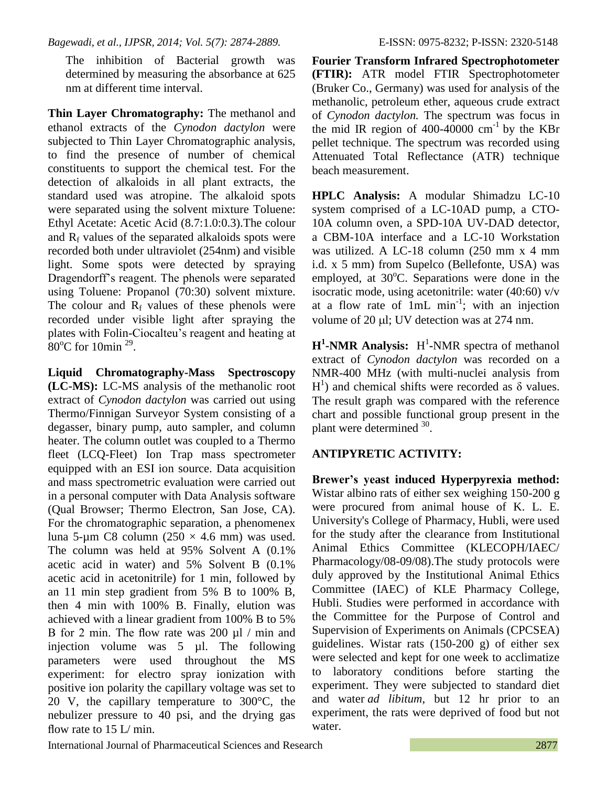The inhibition of Bacterial growth was determined by measuring the absorbance at 625 nm at different time interval.

**Thin Layer Chromatography:** The methanol and ethanol extracts of the *Cynodon dactylon* were subjected to Thin Layer Chromatographic analysis, to find the presence of number of chemical constituents to support the chemical test. For the detection of alkaloids in all plant extracts, the standard used was atropine. The alkaloid spots were separated using the solvent mixture Toluene: Ethyl Acetate: Acetic Acid (8.7:1.0:0.3).The colour and  $R_f$  values of the separated alkaloids spots were recorded both under ultraviolet (254nm) and visible light. Some spots were detected by spraying Dragendorff's reagent. The phenols were separated using Toluene: Propanol (70:30) solvent mixture. The colour and  $R_f$  values of these phenols were recorded under visible light after spraying the plates with Folin-Ciocalteu's reagent and heating at  $80^{\circ}$ C for 10min<sup>29</sup>.

**Liquid Chromatography-Mass Spectroscopy (LC-MS):** LC-MS analysis of the methanolic root extract of *Cynodon dactylon* was carried out using Thermo/Finnigan Surveyor System consisting of a degasser, binary pump, auto sampler, and column heater. The column outlet was coupled to a Thermo fleet (LCQ-Fleet) Ion Trap mass spectrometer equipped with an ESI ion source. Data acquisition and mass spectrometric evaluation were carried out in a personal computer with Data Analysis software (Qual Browser; Thermo Electron, San Jose, CA). For the chromatographic separation, a phenomenex luna 5-µm C8 column (250  $\times$  4.6 mm) was used. The column was held at 95% Solvent A (0.1% acetic acid in water) and 5% Solvent B (0.1% acetic acid in acetonitrile) for 1 min, followed by an 11 min step gradient from 5% B to 100% B, then 4 min with 100% B. Finally, elution was achieved with a linear gradient from 100% B to 5% B for 2 min. The flow rate was 200  $\mu$ l / min and injection volume was 5 µl. The following parameters were used throughout the MS experiment: for electro spray ionization with positive ion polarity the capillary voltage was set to 20 V, the capillary temperature to 300°C, the nebulizer pressure to 40 psi, and the drying gas flow rate to 15 L/min.

**Fourier Transform Infrared Spectrophotometer (FTIR):** ATR model FTIR Spectrophotometer (Bruker Co., Germany) was used for analysis of the methanolic, petroleum ether, aqueous crude extract of *Cynodon dactylon.* The spectrum was focus in the mid IR region of 400-40000  $\text{cm}^{-1}$  by the KBr pellet technique. The spectrum was recorded using Attenuated Total Reflectance (ATR) technique beach measurement.

**HPLC Analysis:** A modular Shimadzu LC-10 system comprised of a LC-10AD pump, a CTO-10A column oven, a SPD-10A UV-DAD detector, a CBM-10A interface and a LC-10 Workstation was utilized. A LC-18 column (250 mm x 4 mm i.d. x 5 mm) from Supelco (Bellefonte, USA) was employed, at  $30^{\circ}$ C. Separations were done in the isocratic mode, using acetonitrile: water (40:60) v/v at a flow rate of  $1mL \text{ min}^{-1}$ ; with an injection volume of 20 ul: UV detection was at 274 nm.

**H<sup>1</sup>-NMR** Analysis: H<sup>1</sup>-NMR spectra of methanol extract of *Cynodon dactylon* was recorded on a NMR-400 MHz (with multi-nuclei analysis from  $H<sup>1</sup>$ ) and chemical shifts were recorded as  $\delta$  values. The result graph was compared with the reference chart and possible functional group present in the plant were determined <sup>30</sup>.

## **ANTIPYRETIC ACTIVITY:**

**Brewer's yeast induced Hyperpyrexia method:** Wistar albino rats of either sex weighing 150-200 g were procured from animal house of K. L. E. University's College of Pharmacy, Hubli, were used for the study after the clearance from Institutional Animal Ethics Committee (KLECOPH/IAEC/ Pharmacology/08-09/08).The study protocols were duly approved by the Institutional Animal Ethics Committee (IAEC) of KLE Pharmacy College, Hubli. Studies were performed in accordance with the Committee for the Purpose of Control and Supervision of Experiments on Animals (CPCSEA) guidelines. Wistar rats (150-200 g) of either sex were selected and kept for one week to acclimatize to laboratory conditions before starting the experiment. They were subjected to standard diet and water *ad libitum*, but 12 hr prior to an experiment, the rats were deprived of food but not water.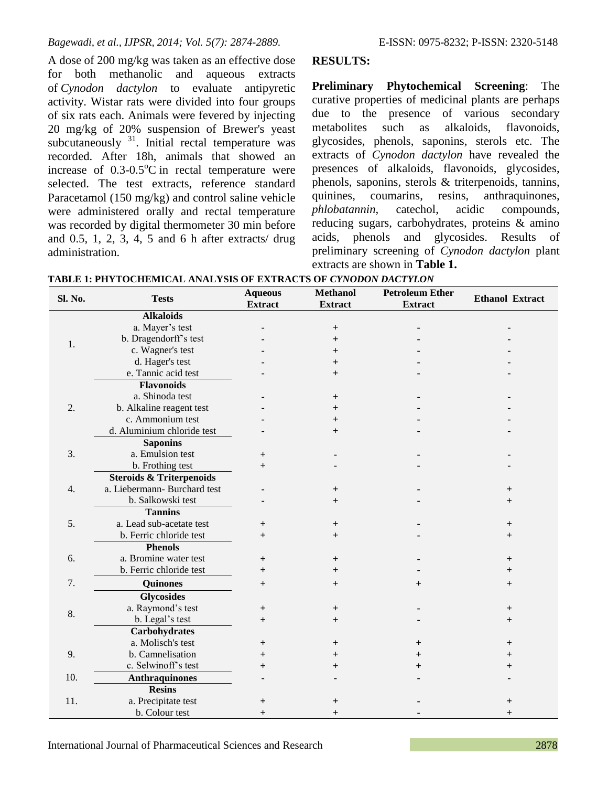A dose of 200 mg/kg was taken as an effective dose for both methanolic and aqueous extracts of *Cynodon dactylon* to evaluate antipyretic activity. Wistar rats were divided into four groups of six rats each. Animals were fevered by injecting 20 mg/kg of 20% suspension of Brewer's yeast subcutaneously <sup>31</sup>. Initial rectal temperature was recorded. After 18h, animals that showed an increase of  $0.3{\text -}0.5^{\circ}\text{C}$  in rectal temperature were selected. The test extracts, reference standard Paracetamol (150 mg/kg) and control saline vehicle were administered orally and rectal temperature was recorded by digital thermometer 30 min before and 0.5, 1, 2, 3, 4, 5 and 6 h after extracts/ drug administration.

## **RESULTS:**

**Preliminary Phytochemical Screening**: The curative properties of medicinal plants are perhaps due to the presence of various secondary metabolites such as alkaloids, flavonoids, glycosides, phenols, saponins, sterols etc. The extracts of *Cynodon dactylon* have revealed the presences of alkaloids, flavonoids, glycosides, phenols, saponins, sterols & triterpenoids, tannins, quinines, coumarins, resins, anthraquinones, *phlobatannin*, catechol, acidic compounds, reducing sugars, carbohydrates, proteins & amino acids, phenols and glycosides. Results of preliminary screening of *Cynodon dactylon* plant extracts are shown in **Table 1.**

| Sl. No. | <b>Tests</b>                        | <b>Aqueous</b><br><b>Extract</b> | <b>Methanol</b><br><b>Extract</b> | <b>Petroleum Ether</b><br><b>Extract</b> | <b>Ethanol Extract</b> |
|---------|-------------------------------------|----------------------------------|-----------------------------------|------------------------------------------|------------------------|
|         | <b>Alkaloids</b>                    |                                  |                                   |                                          |                        |
| 1.      | a. Mayer's test                     |                                  | $^{+}$                            |                                          |                        |
|         | b. Dragendorff's test               |                                  | $^{+}$                            |                                          |                        |
|         | c. Wagner's test                    |                                  | $^{+}$                            |                                          |                        |
|         | d. Hager's test                     |                                  | $^{+}$                            |                                          |                        |
|         | e. Tannic acid test                 |                                  | $^{+}$                            |                                          |                        |
|         | <b>Flavonoids</b>                   |                                  |                                   |                                          |                        |
|         | a. Shinoda test                     |                                  | $\mathrm{+}$                      |                                          |                        |
| 2.      | b. Alkaline reagent test            |                                  | $\overline{+}$                    |                                          |                        |
|         | c. Ammonium test                    |                                  | $^{+}$                            |                                          |                        |
|         | d. Aluminium chloride test          |                                  | $+$                               |                                          |                        |
|         | <b>Saponins</b>                     |                                  |                                   |                                          |                        |
| 3.      | a. Emulsion test                    | $^{+}$                           |                                   |                                          |                        |
|         | b. Frothing test                    | $+$                              |                                   |                                          |                        |
|         | <b>Steroids &amp; Triterpenoids</b> |                                  |                                   |                                          |                        |
| 4.      | a. Liebermann- Burchard test        |                                  | $\mathrm{+}$                      |                                          | $^+$                   |
|         | b. Salkowski test                   |                                  | $^{+}$                            |                                          | $^{+}$                 |
|         | <b>Tannins</b>                      |                                  |                                   |                                          |                        |
| 5.      | a. Lead sub-acetate test            | $^{+}$                           | $^+$                              |                                          | $^{+}$                 |
|         | b. Ferric chloride test             | $^{+}$                           | $+$                               |                                          | $+$                    |
|         | <b>Phenols</b>                      |                                  |                                   |                                          |                        |
| 6.      | a. Bromine water test               | $^{+}$                           | $\pm$                             |                                          | $^{+}$                 |
|         | b. Ferric chloride test             | $^{+}$                           | $\pm$                             |                                          | $+$                    |
| 7.      | <b>Quinones</b>                     | $^{+}$                           | $^{+}$                            | $+$                                      | $+$                    |
|         | <b>Glycosides</b>                   |                                  |                                   |                                          |                        |
|         | a. Raymond's test                   | $\overline{+}$                   | $\pm$                             |                                          | $+$                    |
| 8.      | b. Legal's test                     | $\ddot{}$                        | $^{+}$                            |                                          | $+$                    |
|         | <b>Carbohydrates</b>                |                                  |                                   |                                          |                        |
|         | a. Molisch's test                   | $\ddot{}$                        | $\mathrm{+}$                      | $^+$                                     | $\ddot{}$              |
| 9.      | b. Camnelisation                    | $^{+}$                           | $\overline{+}$                    | $\, +$                                   | $^{+}$                 |
|         | c. Selwinoff's test                 | $^{+}$                           | $^{+}$                            | $^{+}$                                   | $^{+}$                 |
| 10.     | <b>Anthraquinones</b>               |                                  |                                   |                                          |                        |
|         | <b>Resins</b>                       |                                  |                                   |                                          |                        |
| 11.     | a. Precipitate test                 | $^{\mathrm{+}}$                  |                                   |                                          | $\boldsymbol{+}$       |
|         | b. Colour test                      | $\overline{+}$                   |                                   |                                          |                        |

**TABLE 1: PHYTOCHEMICAL ANALYSIS OF EXTRACTS OF** *CYNODON DACTYLON*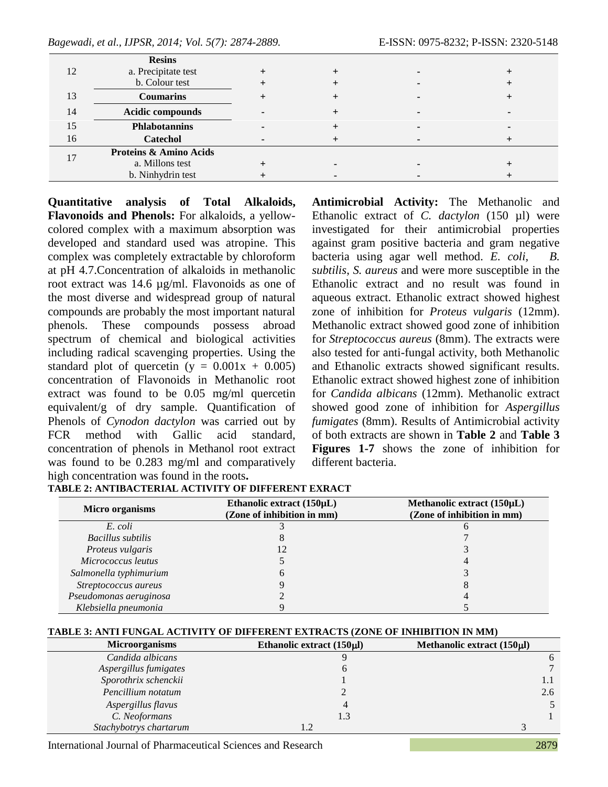|    | <b>Resins</b>                     |  |  |
|----|-----------------------------------|--|--|
|    | a. Precipitate test               |  |  |
|    | b. Colour test                    |  |  |
| 13 | <b>Coumarins</b>                  |  |  |
| 14 | Acidic compounds                  |  |  |
| 15 | <b>Phlabotannins</b>              |  |  |
| 16 | <b>Catechol</b>                   |  |  |
|    | <b>Proteins &amp; Amino Acids</b> |  |  |
|    | a. Millons test                   |  |  |
|    | b. Ninhydrin test                 |  |  |

**Quantitative analysis of Total Alkaloids, Flavonoids and Phenols:** For alkaloids, a yellowcolored complex with a maximum absorption was developed and standard used was atropine. This complex was completely extractable by chloroform at pH 4.7.Concentration of alkaloids in methanolic root extract was 14.6 µg/ml. Flavonoids as one of the most diverse and widespread group of natural compounds are probably the most important natural phenols. These compounds possess abroad spectrum of chemical and biological activities including radical scavenging properties. Using the standard plot of quercetin ( $y = 0.001x + 0.005$ ) concentration of Flavonoids in Methanolic root extract was found to be 0.05 mg/ml quercetin equivalent/g of dry sample. Quantification of Phenols of *Cynodon dactylon* was carried out by FCR method with Gallic acid standard, concentration of phenols in Methanol root extract was found to be 0.283 mg/ml and comparatively high concentration was found in the roots**.** 

**Antimicrobial Activity:** The Methanolic and Ethanolic extract of *C. dactylon* (150 µl) were investigated for their antimicrobial properties against gram positive bacteria and gram negative bacteria using agar well method. *E. coli, B. subtilis*, *S. aureus* and were more susceptible in the Ethanolic extract and no result was found in aqueous extract. Ethanolic extract showed highest zone of inhibition for *Proteus vulgaris* (12mm). Methanolic extract showed good zone of inhibition for *Streptococcus aureus* (8mm). The extracts were also tested for anti-fungal activity, both Methanolic and Ethanolic extracts showed significant results. Ethanolic extract showed highest zone of inhibition for *Candida albicans* (12mm). Methanolic extract showed good zone of inhibition for *Aspergillus fumigates* (8mm). Results of Antimicrobial activity of both extracts are shown in **Table 2** and **Table 3 Figures 1-7** shows the zone of inhibition for different bacteria.

| Micro organisms        | Ethanolic extract $(150\mu L)$<br>(Zone of inhibition in mm) | Methanolic extract (150µL)<br>(Zone of inhibition in mm) |  |  |
|------------------------|--------------------------------------------------------------|----------------------------------------------------------|--|--|
| E. coli                |                                                              |                                                          |  |  |
| Bacillus subtilis      |                                                              |                                                          |  |  |
| Proteus vulgaris       |                                                              |                                                          |  |  |
| Micrococcus leutus     |                                                              |                                                          |  |  |
| Salmonella typhimurium |                                                              |                                                          |  |  |
| Streptococcus aureus   |                                                              |                                                          |  |  |
| Pseudomonas aeruginosa |                                                              |                                                          |  |  |
| Klebsiella pneumonia   |                                                              |                                                          |  |  |

# **TABLE 2: ANTIBACTERIAL ACTIVITY OF DIFFERENT EXRACT**

## **TABLE 3: ANTI FUNGAL ACTIVITY OF DIFFERENT EXTRACTS (ZONE OF INHIBITION IN MM)**

| <b>Microorganisms</b>  | Ethanolic extract $(150 \mu l)$ | Methanolic extract $(150 \mu l)$ |
|------------------------|---------------------------------|----------------------------------|
| Candida albicans       |                                 |                                  |
| Aspergillus fumigates  |                                 |                                  |
| Sporothrix schenckii   |                                 |                                  |
| Pencillium notatum     |                                 | 2.6                              |
| Aspergillus flavus     |                                 |                                  |
| C. Neoformans          |                                 |                                  |
| Stachybotrys chartarum |                                 |                                  |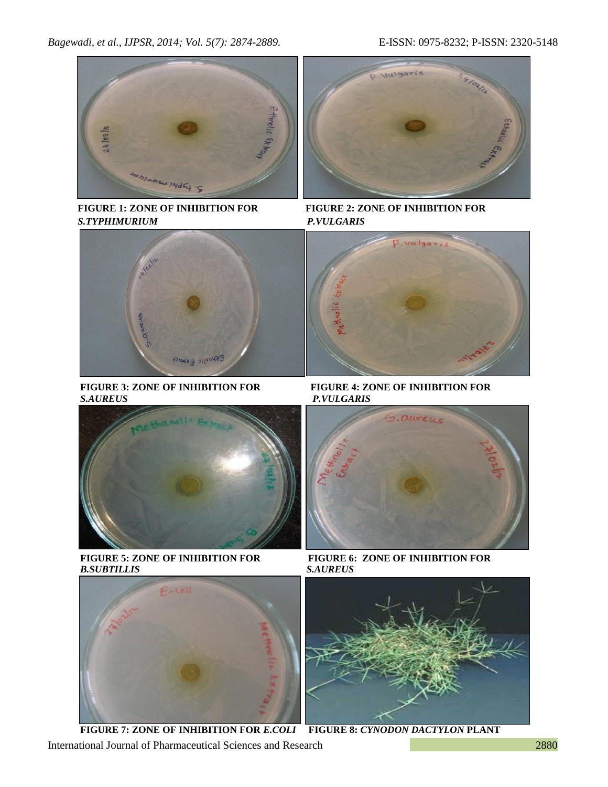

 *S.TYPHIMURIUM P.VULGARIS*



**FIGURE 3: ZONE OF INHIBITION FOR**<br>FIGURE 4: ZONE OF INHIBITION FOR<br>*P.VULGARIS* 



 **FIGURE 5: ZONE OF INHIBITION FOR FIGURE 6: ZONE OF INHIBITION FOR**  *B.SUBTILLIS**S.AUREUS*





 **FIGURE 1: ZONE OF INHIBITION FOR FIGURE 2: ZONE OF INHIBITION FOR**



*S.AUREUS**P.VULGARIS*





International Journal of Pharmaceutical Sciences and Research 2880  **FIGURE 7: ZONE OF INHIBITION FOR** *E.COLI* **FIGURE 8:** *CYNODON DACTYLON* **PLANT**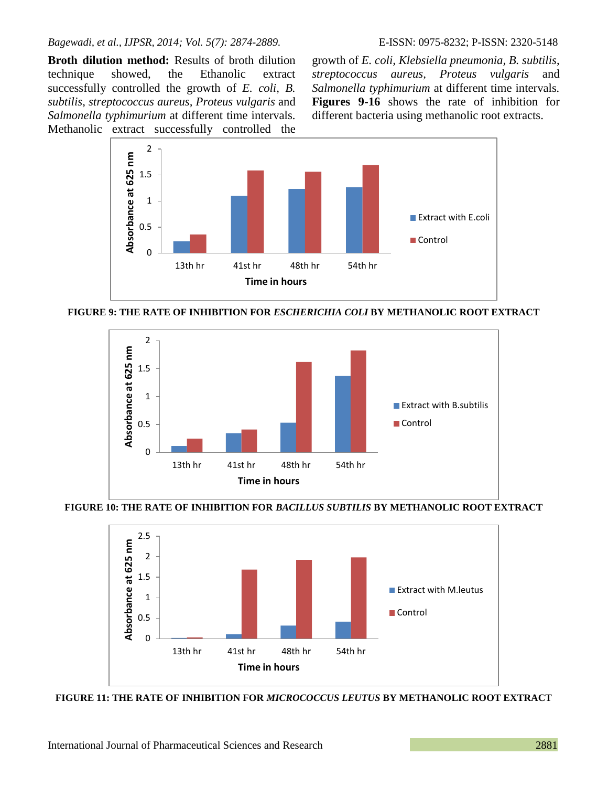**Broth dilution method:** Results of broth dilution technique showed, the Ethanolic extract successfully controlled the growth of *E. coli, B. subtilis*, *streptococcus aureus, Proteus vulgaris* and *Salmonella typhimurium* at different time intervals*.* Methanolic extract successfully controlled the

growth of *E. coli, Klebsiella pneumonia, B. subtilis*, *streptococcus aureus, Proteus vulgaris* and *Salmonella typhimurium* at different time intervals*.* **Figures 9-16** shows the rate of inhibition for different bacteria using methanolic root extracts.



**FIGURE 9: THE RATE OF INHIBITION FOR** *ESCHERICHIA COLI* **BY METHANOLIC ROOT EXTRACT**



**FIGURE 10: THE RATE OF INHIBITION FOR** *BACILLUS SUBTILIS* **BY METHANOLIC ROOT EXTRACT**



**FIGURE 11: THE RATE OF INHIBITION FOR** *MICROCOCCUS LEUTUS* **BY METHANOLIC ROOT EXTRACT**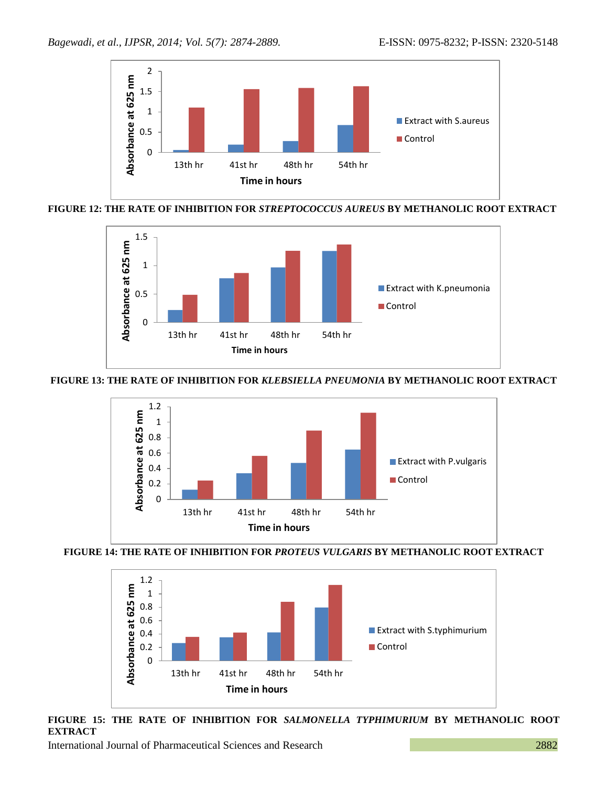

**FIGURE 12: THE RATE OF INHIBITION FOR** *STREPTOCOCCUS AUREUS* **BY METHANOLIC ROOT EXTRACT**



## **FIGURE 13: THE RATE OF INHIBITION FOR** *KLEBSIELLA PNEUMONIA* **BY METHANOLIC ROOT EXTRACT**







**FIGURE 15: THE RATE OF INHIBITION FOR** *SALMONELLA TYPHIMURIUM* **BY METHANOLIC ROOT EXTRACT**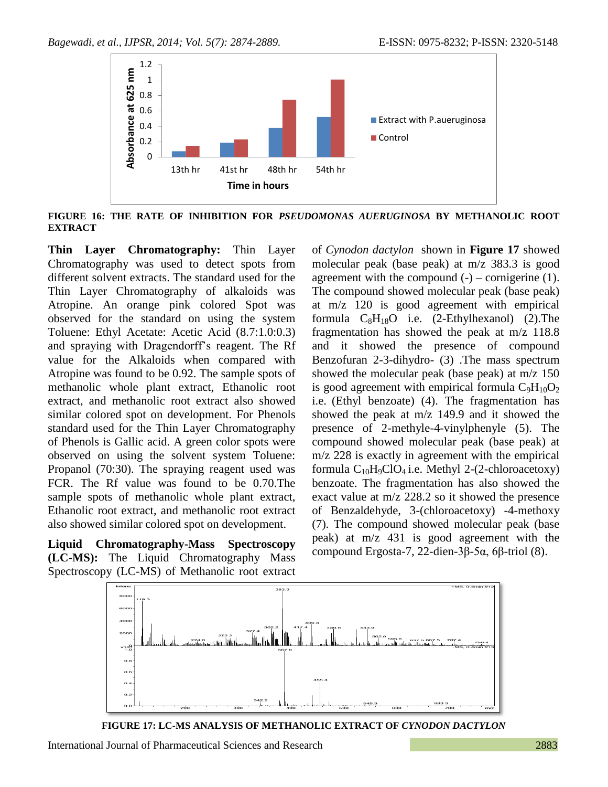

**FIGURE 16: THE RATE OF INHIBITION FOR** *PSEUDOMONAS AUERUGINOSA* **BY METHANOLIC ROOT EXTRACT**

**Thin Layer Chromatography:** Thin Layer Chromatography was used to detect spots from different solvent extracts. The standard used for the Thin Layer Chromatography of alkaloids was Atropine. An orange pink colored Spot was observed for the standard on using the system Toluene: Ethyl Acetate: Acetic Acid (8.7:1.0:0.3) and spraying with Dragendorff's reagent. The Rf value for the Alkaloids when compared with Atropine was found to be 0.92. The sample spots of methanolic whole plant extract, Ethanolic root extract, and methanolic root extract also showed similar colored spot on development. For Phenols standard used for the Thin Layer Chromatography of Phenols is Gallic acid. A green color spots were observed on using the solvent system Toluene: Propanol (70:30). The spraying reagent used was FCR. The Rf value was found to be 0.70.The sample spots of methanolic whole plant extract, Ethanolic root extract, and methanolic root extract also showed similar colored spot on development.

**Liquid Chromatography-Mass Spectroscopy (LC-MS):** The Liquid Chromatography Mass Spectroscopy (LC-MS) of Methanolic root extract of *Cynodon dactylon* shown in **Figure 17** showed molecular peak (base peak) at m/z 383.3 is good agreement with the compound  $(-)$  – cornigerine  $(1)$ . The compound showed molecular peak (base peak) at m/z 120 is good agreement with empirical formula  $C_8H_{18}O$  i.e. (2-Ethylhexanol) (2). The fragmentation has showed the peak at m/z 118.8 and it showed the presence of compound Benzofuran 2-3-dihydro- (3) .The mass spectrum showed the molecular peak (base peak) at m/z 150 is good agreement with empirical formula  $C_9H_{10}O_2$ i.e. (Ethyl benzoate) (4). The fragmentation has showed the peak at m/z 149.9 and it showed the presence of 2-methyle-4-vinylphenyle (5). The compound showed molecular peak (base peak) at m/z 228 is exactly in agreement with the empirical formula  $C_{10}H_9ClO_4$  i.e. Methyl 2-(2-chloroacetoxy) benzoate. The fragmentation has also showed the exact value at m/z 228.2 so it showed the presence of Benzaldehyde, 3-(chloroacetoxy) -4-methoxy (7). The compound showed molecular peak (base peak) at m/z 431 is good agreement with the compound Ergosta-7, 22-dien-3β-5α, 6β-triol (8).



**FIGURE 17: LC-MS ANALYSIS OF METHANOLIC EXTRACT OF** *CYNODON DACTYLON*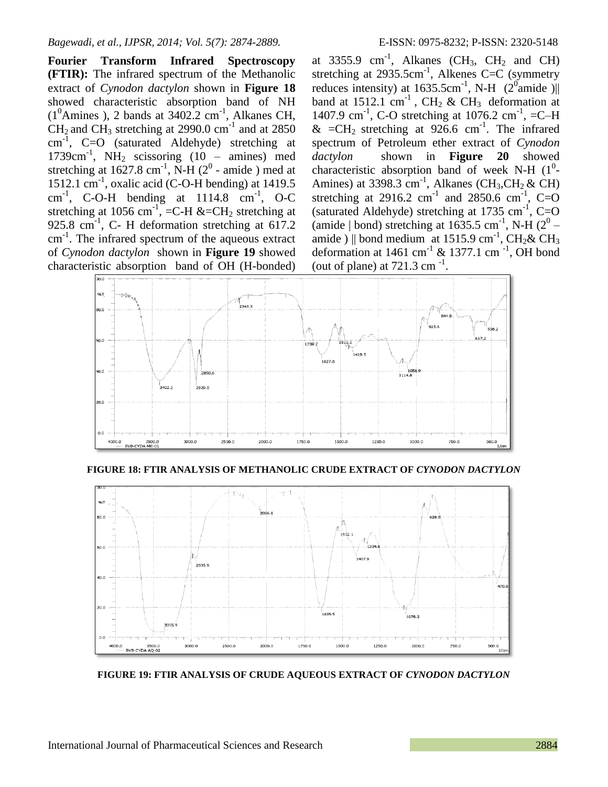**Fourier Transform Infrared Spectroscopy (FTIR):** The infrared spectrum of the Methanolic extract of *Cynodon dactylon* shown in **Figure 18** showed characteristic absorption band of NH  $(1^0 \text{Amines})$ , 2 bands at 3402.2 cm<sup>-1</sup>, Alkanes CH,  $CH<sub>2</sub>$  and CH<sub>3</sub> stretching at 2990.0 cm<sup>-1</sup> and at 2850 cm-1 , C=O (saturated Aldehyde) stretching at 1739cm<sup>-1</sup>, NH<sub>2</sub> scissoring  $(10 - \text{amines})$  med stretching at  $1627.8 \text{ cm}^{-1}$ , N-H ( $2^0$  - amide) med at 1512.1 cm-1 , oxalic acid (C-O-H bending) at 1419.5 cm<sup>-1</sup>, C-O-H bending at 1114.8 cm<sup>-1</sup>, O-C stretching at 1056 cm<sup>-1</sup>, =C-H &=CH<sub>2</sub> stretching at 925.8 cm<sup>-1</sup>, C- H deformation stretching at  $617.2$ cm-1 . The infrared spectrum of the aqueous extract of *Cynodon dactylon* shown in **Figure 19** showed characteristic absorption band of OH (H-bonded)

at 3355.9  $cm^{-1}$ , Alkanes (CH<sub>3</sub>, CH<sub>2</sub> and CH) stretching at  $2935.5 \text{cm}^{-1}$ , Alkenes C=C (symmetry reduces intensity) at  $1635.5 \text{cm}^{-1}$ , N-H (2<sup>0</sup> amide)|| band at 1512.1 cm<sup>-1</sup>, CH<sub>2</sub> & CH<sub>3</sub> deformation at 1407.9 cm<sup>-1</sup>, C-O stretching at 1076.2 cm<sup>-1</sup>, =C-H &  $=CH_2$  stretching at 926.6 cm<sup>-1</sup>. The infrared spectrum of Petroleum ether extract of *Cynodon dactylon* shown in **Figure 20** showed characteristic absorption band of week N-H  $(1^0$ -Amines) at 3398.3 cm<sup>-1</sup>, Alkanes (CH<sub>3</sub>,CH<sub>2</sub> & CH) stretching at 2916.2 cm<sup>-1</sup> and 2850.6 cm<sup>-1</sup>, C=O (saturated Aldehyde) stretching at 1735 cm<sup>-1</sup>, C=O (amide | bond) stretching at  $1635.5$  cm<sup>-1</sup>, N-H ( $2^0$  – amide ) || bond medium at 1515.9 cm<sup>-1</sup>, CH<sub>2</sub>& CH<sub>3</sub> deformation at 1461 cm<sup>-1</sup> & 1377.1 cm<sup>-1</sup>, OH bond (out of plane) at  $721.3$  cm<sup>-1</sup>.



**FIGURE 18: FTIR ANALYSIS OF METHANOLIC CRUDE EXTRACT OF** *CYNODON DACTYLON*



**FIGURE 19: FTIR ANALYSIS OF CRUDE AQUEOUS EXTRACT OF** *CYNODON DACTYLON*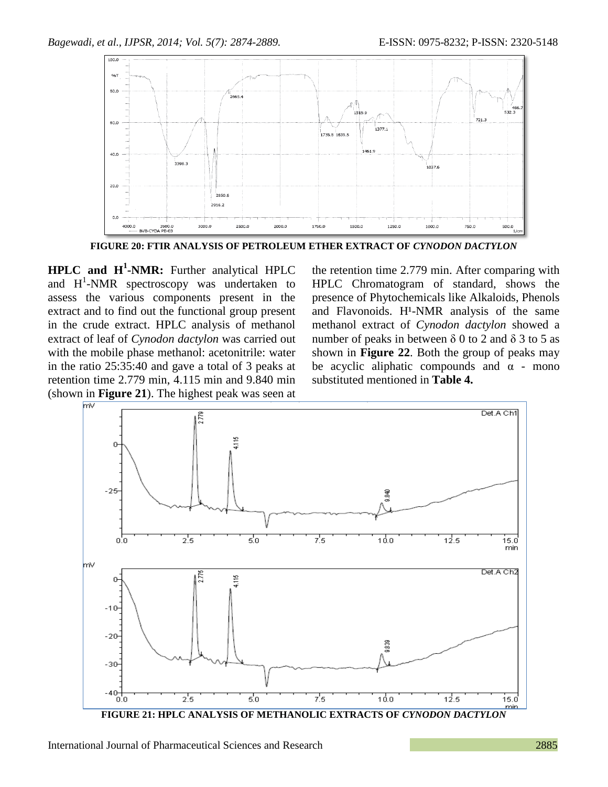

**FIGURE 20: FTIR ANALYSIS OF PETROLEUM ETHER EXTRACT OF** *CYNODON DACTYLON*

**HPLC and H<sup>1</sup> -NMR:** Further analytical HPLC and  $H^1$ -NMR spectroscopy was undertaken to assess the various components present in the extract and to find out the functional group present in the crude extract. HPLC analysis of methanol extract of leaf of *Cynodon dactylon* was carried out with the mobile phase methanol: acetonitrile: water in the ratio 25:35:40 and gave a total of 3 peaks at retention time 2.779 min, 4.115 min and 9.840 min (shown in **Figure 21**). The highest peak was seen at

the retention time 2.779 min. After comparing with HPLC Chromatogram of standard, shows the presence of Phytochemicals like Alkaloids, Phenols and Flavonoids.  $H^1$ -NMR analysis of the same methanol extract of *Cynodon dactylon* showed a number of peaks in between  $\delta$  0 to 2 and  $\delta$  3 to 5 as shown in **Figure 22**. Both the group of peaks may be acyclic aliphatic compounds and  $\alpha$  - mono substituted mentioned in **Table 4.**



**FIGURE 21: HPLC ANALYSIS OF METHANOLIC EXTRACTS OF** *CYNODON DACTYLON*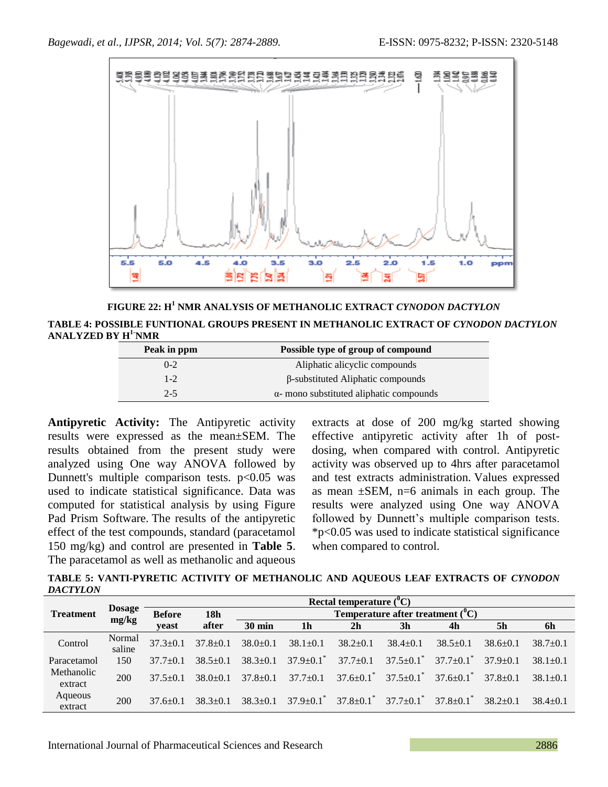

**FIGURE 22: H<sup>1</sup> NMR ANALYSIS OF METHANOLIC EXTRACT** *CYNODON DACTYLON*

**TABLE 4: POSSIBLE FUNTIONAL GROUPS PRESENT IN METHANOLIC EXTRACT OF** *CYNODON DACTYLON* **ANALYZED BY H1-NMR** 

| Peak in ppm | Possible type of group of compound              |
|-------------|-------------------------------------------------|
| $0-2$       | Aliphatic alicyclic compounds                   |
| $1 - 2$     | $\beta$ -substituted Aliphatic compounds        |
| $2-5$       | $\alpha$ - mono substituted aliphatic compounds |

**Antipyretic Activity:** The Antipyretic activity results were expressed as the mean±SEM. The results obtained from the present study were analyzed using One way ANOVA followed by Dunnett's multiple comparison tests.  $p<0.05$  was used to indicate statistical significance. Data was computed for statistical analysis by using Figure Pad Prism Software. The results of the antipyretic effect of the test compounds, standard (paracetamol 150 mg/kg) and control are presented in **Table 5**. The paracetamol as well as methanolic and aqueous

extracts at dose of 200 mg/kg started showing effective antipyretic activity after 1h of postdosing, when compared with control. Antipyretic activity was observed up to 4hrs after paracetamol and test extracts administration. Values expressed as mean  $\pm$ SEM, n=6 animals in each group. The results were analyzed using One way ANOVA followed by Dunnett's multiple comparison tests. \*p<0.05 was used to indicate statistical significance when compared to control.

TABLE 5: VANTI-PYRETIC ACTIVITY OF METHANOLIC AND AQUEOUS LEAF EXTRACTS OF *CYNODON DACTYLON*

|                       |                        | Rectal temperature $(^0C)$ |                |                                     |                             |                             |                         |                         |                |                |
|-----------------------|------------------------|----------------------------|----------------|-------------------------------------|-----------------------------|-----------------------------|-------------------------|-------------------------|----------------|----------------|
| <b>Treatment</b>      | <b>Dosage</b><br>mg/kg | <b>Before</b>              | 18h            | Temperature after treatment $(^0C)$ |                             |                             |                         |                         |                |                |
|                       |                        | veast                      | after          | <b>30 min</b>                       | 1 <sub>h</sub>              | 2 <sub>h</sub>              | 3 <sub>h</sub>          | 4h                      | 5 <sub>h</sub> | 6h             |
| Control               | Normal<br>saline       | $37.3 \pm 0.1$             | $37.8 \pm 0.1$ | $38.0 \pm 0.1$                      | $38.1 \pm 0.1$              | $38.2 \pm 0.1$              | $38.4 \pm 0.1$          | $38.5 \pm 0.1$          | $38.6 \pm 0.1$ | $38.7+0.1$     |
| Paracetamol           | 150                    | $37.7 + 0.1$               | $38.5 + 0.1$   | $38.3 + 0.1$                        | $37.9 \pm 0.1$              | $37.7 \pm 0.1$              | $37.5+0.1$ <sup>*</sup> | $37.7+0.1$ <sup>*</sup> | $37.9 \pm 0.1$ | $38.1 \pm 0.1$ |
| Methanolic<br>extract | 200                    | $37.5 + 0.1$               | $38.0+0.1$     | $37.8 + 0.1$                        | $37.7+0.1$                  | $37.6 \pm 0.1$ <sup>*</sup> | $37.5+0.1$              | $37.6+0.1$ <sup>*</sup> | $37.8 + 0.1$   | $38.1 \pm 0.1$ |
| Aqueous<br>extract    | 200                    | $37.6 + 0.1$               | $38.3 + 0.1$   | $38.3 + 0.1$                        | $37.9 \pm 0.1$ <sup>*</sup> | $37.8 \pm 0.1$ <sup>*</sup> | $37.7+0.1$ <sup>*</sup> | $37.8+0.1$ <sup>*</sup> | $38.2 + 0.1$   | $38.4 + 0.1$   |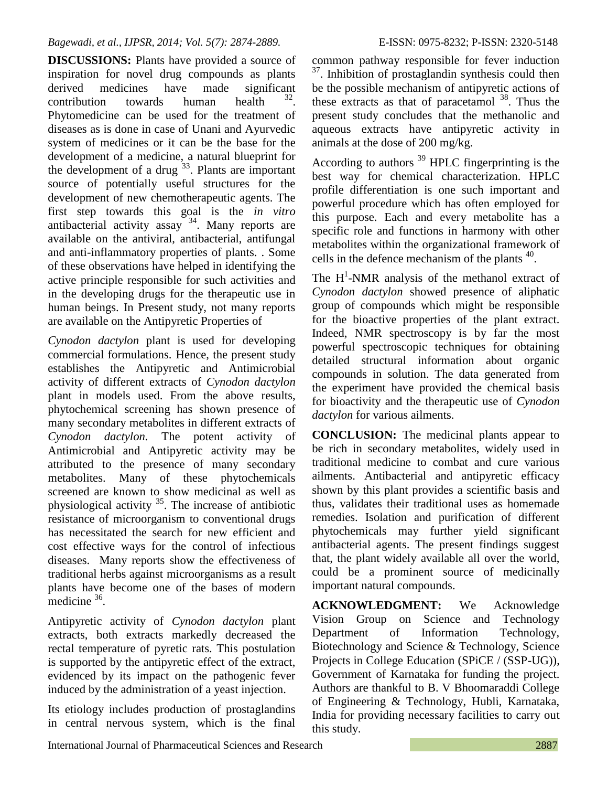**DISCUSSIONS:** Plants have provided a source of inspiration for novel drug compounds as plants derived medicines have made significant contribution towards human health . Phytomedicine can be used for the treatment of diseases as is done in case of Unani and Ayurvedic system of medicines or it can be the base for the development of a medicine, a natural blueprint for the development of a drug  $33$ . Plants are important source of potentially useful structures for the development of new chemotherapeutic agents. The first step towards this goal is the *in vitro* antibacterial activity assay <sup>34</sup>. Many reports are available on the antiviral, antibacterial, antifungal and anti-inflammatory properties of plants. . Some of these observations have helped in identifying the active principle responsible for such activities and in the developing drugs for the therapeutic use in human beings. In Present study, not many reports are available on the Antipyretic Properties of

*Cynodon dactylon* plant is used for developing commercial formulations. Hence, the present study establishes the Antipyretic and Antimicrobial activity of different extracts of *Cynodon dactylon* plant in models used. From the above results, phytochemical screening has shown presence of many secondary metabolites in different extracts of *Cynodon dactylon.* The potent activity of Antimicrobial and Antipyretic activity may be attributed to the presence of many secondary metabolites. Many of these phytochemicals screened are known to show medicinal as well as physiological activity  $35$ . The increase of antibiotic resistance of microorganism to conventional drugs has necessitated the search for new efficient and cost effective ways for the control of infectious diseases. Many reports show the effectiveness of traditional herbs against microorganisms as a result plants have become one of the bases of modern medicine  $36$ .

Antipyretic activity of *Cynodon dactylon* plant extracts, both extracts markedly decreased the rectal temperature of pyretic rats. This postulation is supported by the antipyretic effect of the extract, evidenced by its impact on the pathogenic fever induced by the administration of a yeast injection.

Its etiology includes production of prostaglandins in central nervous system, which is the final

common pathway responsible for fever induction <sup>37</sup>. Inhibition of prostaglandin synthesis could then be the possible mechanism of antipyretic actions of these extracts as that of paracetamol  $38$ . Thus the present study concludes that the methanolic and aqueous extracts have antipyretic activity in animals at the dose of 200 mg/kg.

According to authors  $39$  HPLC fingerprinting is the best way for chemical characterization. HPLC profile differentiation is one such important and powerful procedure which has often employed for this purpose. Each and every metabolite has a specific role and functions in harmony with other metabolites within the organizational framework of cells in the defence mechanism of the plants  $40$ .

The  $H^1$ -NMR analysis of the methanol extract of *Cynodon dactylon* showed presence of aliphatic group of compounds which might be responsible for the bioactive properties of the plant extract. Indeed, NMR spectroscopy is by far the most powerful spectroscopic techniques for obtaining detailed structural information about organic compounds in solution. The data generated from the experiment have provided the chemical basis for bioactivity and the therapeutic use of *Cynodon dactylon* for various ailments.

**CONCLUSION:** The medicinal plants appear to be rich in secondary metabolites, widely used in traditional medicine to combat and cure various ailments. Antibacterial and antipyretic efficacy shown by this plant provides a scientific basis and thus, validates their traditional uses as homemade remedies. Isolation and purification of different phytochemicals may further yield significant antibacterial agents. The present findings suggest that, the plant widely available all over the world, could be a prominent source of medicinally important natural compounds.

**ACKNOWLEDGMENT:** We Acknowledge Vision Group on Science and Technology Department of Information Technology, Biotechnology and Science & Technology, Science Projects in College Education (SPiCE / (SSP-UG)), Government of Karnataka for funding the project. Authors are thankful to B. V Bhoomaraddi College of Engineering & Technology, Hubli, Karnataka, India for providing necessary facilities to carry out this study.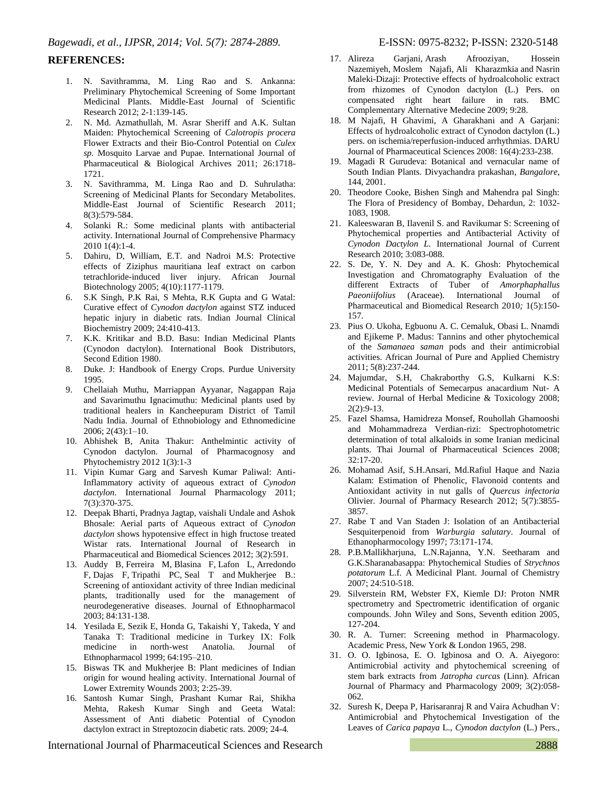#### **REFERENCES:**

- 1. N. Savithramma, M. Ling Rao and S. Ankanna: Preliminary Phytochemical Screening of Some Important Medicinal Plants. Middle-East Journal of Scientific Research 2012; 2-1:139-145.
- 2. N. Md. Azmathullah, M. Asrar Sheriff and A.K. Sultan Maiden: Phytochemical Screening of *Calotropis procera*  Flower Extracts and their Bio-Control Potential on *Culex sp.* Mosquito Larvae and Pupae. International Journal of Pharmaceutical & Biological Archives 2011; 26:1718- 1721.
- 3. N. Savithramma, M. Linga Rao and D. Suhrulatha: Screening of Medicinal Plants for Secondary Metabolites. Middle-East Journal of Scientific Research 2011; 8(3):579-584.
- 4. Solanki R.: Some medicinal plants with antibacterial activity. International Journal of Comprehensive Pharmacy 2010 1(4):1-4.
- 5. Dahiru, D, William, E.T. and Nadroi M.S: Protective effects of Ziziphus mauritiana leaf extract on carbon tetrachloride-induced liver injury. African Journal Biotechnology 2005; 4(10):1177-1179.
- 6. S.K Singh, P.K Rai, S Mehta, R.K Gupta and G Watal: Curative effect of *Cynodon dactylon* against STZ induced hepatic injury in diabetic rats. Indian Journal Clinical Biochemistry 2009; 24:410-413.
- 7. K.K. Kritikar and B.D. Basu: Indian Medicinal Plants (Cynodon dactylon). International Book Distributors, Second Edition 1980.
- 8. Duke. J: Handbook of Energy Crops. Purdue University 1995.
- 9. Chellaiah Muthu, Marriappan Ayyanar, Nagappan Raja and Savarimuthu Ignacimuthu: Medicinal plants used by traditional healers in Kancheepuram District of Tamil Nadu India. Journal of Ethnobiology and Ethnomedicine 2006; 2(43):1–10.
- 10. Abhishek B, Anita Thakur: Anthelmintic activity of Cynodon dactylon. Journal of Pharmacognosy and Phytochemistry 2012 1(3):1-3
- 11. Vipin Kumar Garg and Sarvesh Kumar Paliwal: Anti-Inflammatory activity of aqueous extract of *Cynodon dactylon*. International Journal Pharmacology 2011; 7(3):370-375.
- 12. Deepak Bharti, Pradnya Jagtap, vaishali Undale and Ashok Bhosale: Aerial parts of Aqueous extract of *Cynodon dactylon* shows hypotensive effect in high fructose treated Wistar rats. International Journal of Research in Pharmaceutical and Biomedical Sciences 2012; 3(2):591.
- 13. [Auddy B,](http://www.ncbi.nlm.nih.gov/pubmed?term=Auddy%20B%5BAuthor%5D&cauthor=true&cauthor_uid=12648805) [Ferreira M,](http://www.ncbi.nlm.nih.gov/pubmed?term=Ferreira%20M%5BAuthor%5D&cauthor=true&cauthor_uid=12648805) [Blasina F,](http://www.ncbi.nlm.nih.gov/pubmed?term=Blasina%20F%5BAuthor%5D&cauthor=true&cauthor_uid=12648805) [Lafon L,](http://www.ncbi.nlm.nih.gov/pubmed?term=Lafon%20L%5BAuthor%5D&cauthor=true&cauthor_uid=12648805) [Arredondo](http://www.ncbi.nlm.nih.gov/pubmed?term=Arredondo%20F%5BAuthor%5D&cauthor=true&cauthor_uid=12648805)  [F,](http://www.ncbi.nlm.nih.gov/pubmed?term=Arredondo%20F%5BAuthor%5D&cauthor=true&cauthor_uid=12648805) [Dajas F,](http://www.ncbi.nlm.nih.gov/pubmed?term=Dajas%20F%5BAuthor%5D&cauthor=true&cauthor_uid=12648805) [Tripathi PC,](http://www.ncbi.nlm.nih.gov/pubmed?term=Tripathi%20PC%5BAuthor%5D&cauthor=true&cauthor_uid=12648805) [Seal T](http://www.ncbi.nlm.nih.gov/pubmed?term=Seal%20T%5BAuthor%5D&cauthor=true&cauthor_uid=12648805) and [Mukherjee B.](http://www.ncbi.nlm.nih.gov/pubmed?term=Mukherjee%20B%5BAuthor%5D&cauthor=true&cauthor_uid=12648805): Screening of antioxidant activity of three Indian medicinal plants, traditionally used for the management of neurodegenerative diseases. Journal of Ethnopharmacol 2003; 84:131-138.
- 14. Yesilada E, Sezik E, Honda G, Takaishi Y, Takeda, Y and Tanaka T: Traditional medicine in Turkey IX: Folk medicine in north-west Anatolia. Journal of Ethnopharmacol 1999; 64:195–210.
- 15. Biswas TK and Mukherjee B: Plant medicines of Indian origin for wound healing activity. International Journal of Lower Extremity Wounds 2003; 2:25-39.
- 16. Santosh Kumar Singh, Prashant Kumar Rai, Shikha Mehta, Rakesh Kumar Singh and Geeta Watal: Assessment of Anti diabetic Potential of Cynodon dactylon extract in Streptozocin diabetic rats. 2009; 24-4*.*
- Nazemiyeh, Moslem Najafi, Ali Kharazmkia and Nasrin Maleki-Dizaji: Protective effects of hydroalcoholic extract from rhizomes of Cynodon dactylon (L.) Pers. on compensated right heart failure in rats. BMC Complementary Alternative Medecine 2009; 9:28.
- 18. M Najafi, H Ghavimi, A Gharakhani and A Garjani: Effects of hydroalcoholic extract of Cynodon dactylon (L.) pers. on ischemia/reperfusion-induced arrhythmias. DARU Journal of Pharmaceutical Sciences 2008: 16(4):233-238.
- 19. Magadi R Gurudeva: Botanical and vernacular name of South Indian Plants. Divyachandra prakashan*, Bangalore*, 144, 2001.
- 20. Theodore Cooke, Bishen Singh and Mahendra pal Singh: The Flora of Presidency of Bombay*,* Dehardun*,* 2: 1032- 1083, 1908.
- 21. Kaleeswaran B, Ilavenil S. and Ravikumar S: Screening of Phytochemical properties and Antibacterial Activity of *Cynodon Dactylon L.* International Journal of Current Research 2010; 3:083-088.
- 22. S. De, Y. N. Dey and A. K. Ghosh: Phytochemical Investigation and Chromatography Evaluation of the different Extracts of Tuber of *Amorphaphallus Paeoniifolius* (Araceae). International Journal of Pharmaceutical and Biomedical Research 2010*;* 1(5):150- 157.
- 23. Pius O. Ukoha, Egbuonu A. C. Cemaluk, Obasi L. Nnamdi and Ejikeme P. Madus: Tannins and other phytochemical of the *Samanaea saman* pods and their antimicrobial activities. African Journal of Pure and Applied Chemistry 2011; 5(8):237-244.
- 24. Majumdar, S.H, Chakraborthy G.S, Kulkarni K.S: Medicinal Potentials of Semecarpus anacardium Nut- A review. Journal of Herbal Medicine & Toxicology 2008; 2(2):9-13.
- 25. Fazel Shamsa, Hamidreza Monsef, Rouhollah Ghamooshi and Mohammadreza Verdian-rizi: Spectrophotometric determination of total alkaloids in some Iranian medicinal plants. Thai Journal of Pharmaceutical Sciences 2008; 32:17-20.
- 26. Mohamad Asif, S.H.Ansari, Md.Rafiul Haque and Nazia Kalam: Estimation of Phenolic, Flavonoid contents and Antioxidant activity in nut galls of *Quercus infectoria* Olivier. Journal of Pharmacy Research 2012; 5(7):3855- 3857.
- 27. Rabe T and Van Staden J: Isolation of an Antibacterial Sesquiterpenoid from *Warburgia salutary*. Journal of Ethanopharmocology 1997; 73:171-174.
- 28. P.B.Mallikharjuna, L.N.Rajanna, Y.N. Seetharam and G.K.Sharanabasappa: Phytochemical Studies of *Strychnos potatorum* L.f. A Medicinal Plant. Journal of Chemistry 2007; 24:510-518.
- 29. Silverstein RM, Webster FX, Kiemle DJ: Proton NMR spectrometry and Spectrometric identification of organic compounds. John Wiley and Sons, Seventh edition 2005, 127-204.
- 30. R. A. Turner: Screening method in Pharmacology. Academic Press, New York & London 1965, 298.
- 31. O. O. Igbinosa, E. O. Igbinosa and O. A. Aiyegoro: Antimicrobial activity and phytochemical screening of stem bark extracts from *Jatropha curcas* (Linn). African Journal of Pharmacy and Pharmacology 2009; 3(2):058- 062.
- 32. Suresh K, Deepa P, Harisaranraj R and Vaira Achudhan V: Antimicrobial and Phytochemical Investigation of the Leaves of *Carica papaya* L., *Cynodon dactylon* (L.) Pers.*,*